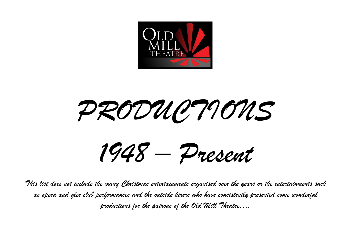

*PRODUCTIONS*

*1948 – Present*

*This list does not include the many Christmas entertainments organised over the years or the entertainments such as opera and glee club performances and the outside hirers who have consistently presented some wonderful productions for the patrons of the Old Mill Theatre….*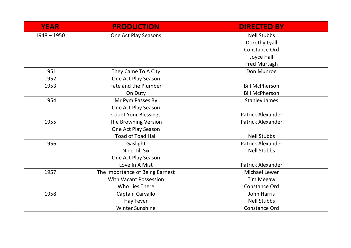| <b>YEAR</b>   | <b>PRODUCTION</b>               | <b>DIRECTED BY</b>       |
|---------------|---------------------------------|--------------------------|
| $1948 - 1950$ | One Act Play Seasons            | <b>Nell Stubbs</b>       |
|               |                                 | Dorothy Lyall            |
|               |                                 | <b>Constance Ord</b>     |
|               |                                 | Joyce Hall               |
|               |                                 | Fred Murtagh             |
| 1951          | They Came To A City             | Don Munroe               |
| 1952          | One Act Play Season             |                          |
| 1953          | Fate and the Plumber            | <b>Bill McPherson</b>    |
|               | On Duty                         | <b>Bill McPherson</b>    |
| 1954          | Mr Pym Passes By                | <b>Stanley James</b>     |
|               | One Act Play Season             |                          |
|               | <b>Count Your Blessings</b>     | <b>Patrick Alexander</b> |
| 1955          | The Browning Version            | <b>Patrick Alexander</b> |
|               | One Act Play Season             |                          |
|               | <b>Toad of Toad Hall</b>        | <b>Nell Stubbs</b>       |
| 1956          | Gaslight                        | <b>Patrick Alexander</b> |
|               | Nine Till Six                   | <b>Nell Stubbs</b>       |
|               | One Act Play Season             |                          |
|               | Love In A Mist                  | <b>Patrick Alexander</b> |
| 1957          | The Importance of Being Earnest | <b>Michael Lewer</b>     |
|               | <b>With Vacant Possession</b>   | <b>Tim Megaw</b>         |
|               | Who Lies There                  | <b>Constance Ord</b>     |
| 1958          | Captain Carvallo                | John Harris              |
|               | <b>Hay Fever</b>                | <b>Nell Stubbs</b>       |
|               | <b>Winter Sunshine</b>          | <b>Constance Ord</b>     |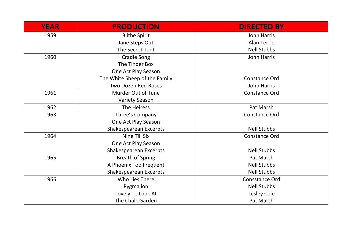| <b>YEAR</b> | <b>PRODUCTION</b>             | <b>DIRECTED BY</b>    |
|-------------|-------------------------------|-----------------------|
| 1959        | <b>Blithe Spirit</b>          | John Harris           |
|             | Jane Steps Out                | <b>Alan Terrie</b>    |
|             | The Secret Tent               | <b>Nell Stubbs</b>    |
| 1960        | Cradle Song                   | John Harris           |
|             | The Tinder Box                |                       |
|             | One Act Play Season           |                       |
|             | The White Sheep of the Family | <b>Constance Ord</b>  |
|             | <b>Two Dozen Red Roses</b>    | <b>John Harris</b>    |
| 1961        | Murder Out of Tune            | <b>Constance Ord</b>  |
|             | <b>Variety Season</b>         |                       |
| 1962        | The Heiress                   | Pat Marsh             |
| 1963        | Three's Company               | Constance Ord         |
|             | One Act Play Season           |                       |
|             | Shakespearean Excerpts        | <b>Nell Stubbs</b>    |
| 1964        | Nine Till Six                 | <b>Constance Ord</b>  |
|             | One Act Play Season           |                       |
|             | Shakespearean Excerpts        | <b>Nell Stubbs</b>    |
| 1965        | <b>Breath of Spring</b>       | Pat Marsh             |
|             | A Phoenix Too Frequent        | <b>Nell Stubbs</b>    |
|             | Shakespearean Excerpts        | <b>Nell Stubbs</b>    |
| 1966        | Who Lies There                | <b>Consstance Ord</b> |
|             | Pygmalion                     | <b>Nell Stubbs</b>    |
|             | Lovely To Look At             | Lesley Cole           |
|             | The Chalk Garden              | Pat Marsh             |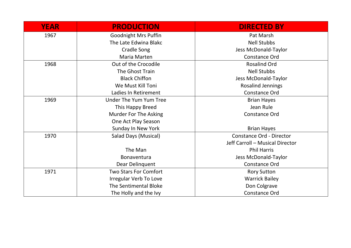| <b>YEAR</b> | <b>PRODUCTION</b>             | <b>DIRECTED BY</b>              |
|-------------|-------------------------------|---------------------------------|
| 1967        | <b>Goodnight Mrs Puffin</b>   | Pat Marsh                       |
|             | The Late Edwina Blakc         | <b>Nell Stubbs</b>              |
|             | <b>Cradle Song</b>            | Jess McDonald-Taylor            |
|             | Maria Marten                  | <b>Constance Ord</b>            |
| 1968        | Out of the Crocodile          | <b>Rosalind Ord</b>             |
|             | The Ghost Train               | <b>Nell Stubbs</b>              |
|             | <b>Black Chiffon</b>          | Jess McDonald-Taylor            |
|             | We Must Kill Toni             | <b>Rosalind Jennings</b>        |
|             | Ladies In Retirement          | Constance Ord                   |
| 1969        | <b>Under The Yum Yum Tree</b> | <b>Brian Hayes</b>              |
|             | This Happy Breed              | Jean Rule                       |
|             | Murder For The Asking         | <b>Constance Ord</b>            |
|             | One Act Play Season           |                                 |
|             | Sunday In New York            | <b>Brian Hayes</b>              |
| 1970        | Salad Days (Musical)          | <b>Constance Ord - Director</b> |
|             |                               | Jeff Carroll - Musical Director |
|             | The Man                       | <b>Phil Harris</b>              |
|             | Bonaventura                   | Jess McDonald-Taylor            |
|             | Dear Delinquent               | <b>Constance Ord</b>            |
| 1971        | <b>Two Stars For Comfort</b>  | <b>Rory Sutton</b>              |
|             | Irregular Verb To Love        | <b>Warrick Bailey</b>           |
|             | <b>The Sentimental Bloke</b>  | Don Colgrave                    |
|             | The Holly and the Ivy         | <b>Constance Ord</b>            |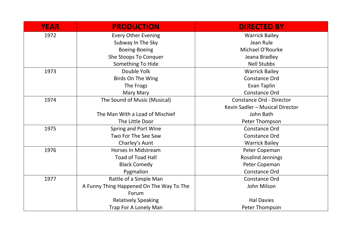| <b>YEAR</b> | <b>PRODUCTION</b>                        | <b>DIRECTED BY</b>              |
|-------------|------------------------------------------|---------------------------------|
| 1972        | <b>Every Other Evening</b>               | <b>Warrick Bailey</b>           |
|             | Subway In The Sky                        | Jean Rule                       |
|             | Boeing-Boeing                            | Michael O'Rourke                |
|             | She Stoops To Conquer                    | Jeana Bradley                   |
|             | Something To Hide                        | <b>Nell Stubbs</b>              |
| 1973        | Double Yolk                              | <b>Warrick Bailey</b>           |
|             | Birds On The Wing                        | Constance Ord                   |
|             | The Frogs                                | Evan Taplin                     |
|             | Mary Mary                                | <b>Constance Ord</b>            |
| 1974        | The Sound of Music (Musical)             | <b>Constance Ord - Director</b> |
|             |                                          | Kevin Sadler - Musical Director |
|             | The Man With a Load of Mischief          | John Bath                       |
|             | The Little Door                          | Peter Thompson                  |
| 1975        | Spring and Port Wine                     | <b>Constance Ord</b>            |
|             | Two For The See Saw                      | <b>Constance Ord</b>            |
|             | Charley's Aunt                           | <b>Warrick Bailey</b>           |
| 1976        | <b>Horses In Midstream</b>               | Peter Copeman                   |
|             | <b>Toad of Toad Hall</b>                 | <b>Rosalind Jennings</b>        |
|             | <b>Black Comedy</b>                      | Peter Copeman                   |
|             | Pygmalion                                | <b>Constance Ord</b>            |
| 1977        | Rattle of a Simple Man                   | <b>Constance Ord</b>            |
|             | A Funny Thing Happened On The Way To The | John Milson                     |
|             | Forum                                    |                                 |
|             | <b>Relatively Speaking</b>               | <b>Hal Davies</b>               |
|             | Trap For A Lonely Man                    | Peter Thompson                  |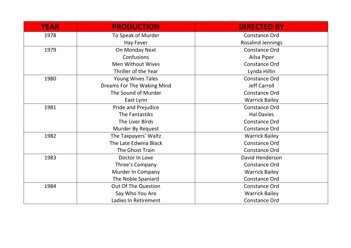| <b>YEAR</b> | <b>PRODUCTION</b>          | <b>DIRECTED BY</b>       |
|-------------|----------------------------|--------------------------|
| 1978        | To Speak of Murder         | <b>Constance Ord</b>     |
|             | Hay Fever                  | <b>Rosalind Jennings</b> |
| 1979        | On Monday Next             | <b>Constance Ord</b>     |
|             | Confusions                 | Ailsa Piper              |
|             | <b>Men Without Wives</b>   | <b>Constance Ord</b>     |
|             | Thriller of the Year       | Lynda Hillin             |
| 1980        | <b>Young Wives Tales</b>   | <b>Constance Ord</b>     |
|             | Dreams For The Waking Mind | <b>Jeff Carroll</b>      |
|             | The Sound of Murder        | <b>Constance Ord</b>     |
|             | East Lynn                  | <b>Warrick Bailey</b>    |
| 1981        | Pride and Prejudice        | <b>Constance Ord</b>     |
|             | The Fantastiks             | <b>Hal Davies</b>        |
|             | The Liver Birds            | <b>Constance Ord</b>     |
|             | Murder By Request          | <b>Constance Ord</b>     |
| 1982        | The Taxpayers' Waltz       | <b>Warrick Bailey</b>    |
|             | The Late Edwina Black      | <b>Constance Ord</b>     |
|             | The Ghost Train            | <b>Constance Ord</b>     |
| 1983        | Doctor In Love             | David Henderson          |
|             | Three's Company            | <b>Constance Ord</b>     |
|             | Murder In Company          | <b>Warrick Bailey</b>    |
|             | The Noble Spaniard         | <b>Constance Ord</b>     |
| 1984        | Out Of The Question        | <b>Constance Ord</b>     |
|             | Say Who You Are            | <b>Warrick Bailey</b>    |
|             | Ladies In Retirement       | <b>Constance Ord</b>     |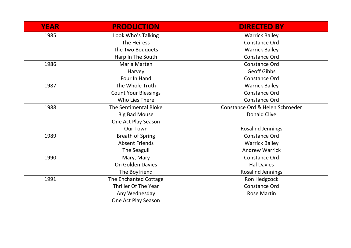| <b>YEAR</b> | <b>PRODUCTION</b>           | <b>DIRECTED BY</b>              |
|-------------|-----------------------------|---------------------------------|
| 1985        | Look Who's Talking          | <b>Warrick Bailey</b>           |
|             | The Heiress                 | <b>Constance Ord</b>            |
|             | The Two Bouquets            | <b>Warrick Bailey</b>           |
|             | Harp In The South           | <b>Constance Ord</b>            |
| 1986        | Maria Marten                | <b>Constance Ord</b>            |
|             | Harvey                      | <b>Geoff Gibbs</b>              |
|             | Four In Hand                | <b>Constance Ord</b>            |
| 1987        | The Whole Truth             | <b>Warrick Bailey</b>           |
|             | <b>Count Your Blessings</b> | <b>Constance Ord</b>            |
|             | Who Lies There              | <b>Constance Ord</b>            |
| 1988        | The Sentimental Bloke       | Constance Ord & Helen Schroeder |
|             | <b>Big Bad Mouse</b>        | <b>Donald Clive</b>             |
|             | One Act Play Season         |                                 |
|             | <b>Our Town</b>             | <b>Rosalind Jennings</b>        |
| 1989        | <b>Breath of Spring</b>     | <b>Constance Ord</b>            |
|             | <b>Absent Friends</b>       | <b>Warrick Bailey</b>           |
|             | The Seagull                 | <b>Andrew Warrick</b>           |
| 1990        | Mary, Mary                  | <b>Constance Ord</b>            |
|             | <b>On Golden Davies</b>     | <b>Hal Davies</b>               |
|             | The Boyfriend               | <b>Rosalind Jennings</b>        |
| 1991        | The Enchanted Cottage       | Ron Hedgcock                    |
|             | Thriller Of The Year        | <b>Constance Ord</b>            |
|             | Any Wednesday               | <b>Rose Martin</b>              |
|             | One Act Play Season         |                                 |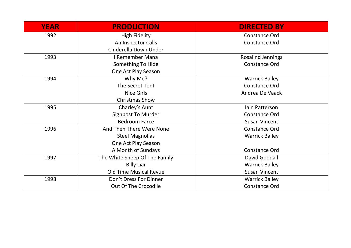| <b>YEAR</b> | <b>PRODUCTION</b>             | <b>DIRECTED BY</b>       |
|-------------|-------------------------------|--------------------------|
| 1992        | <b>High Fidelity</b>          | <b>Constance Ord</b>     |
|             | An Inspector Calls            | Constance Ord            |
|             | Cinderella Down Under         |                          |
| 1993        | I Remember Mana               | <b>Rosalind Jennings</b> |
|             | Something To Hide             | Constance Ord            |
|             | One Act Play Season           |                          |
| 1994        | Why Me?                       | <b>Warrick Bailey</b>    |
|             | The Secret Tent               | Constance Ord            |
|             | <b>Nice Girls</b>             | Andrea De Vaack          |
|             | <b>Christmas Show</b>         |                          |
| 1995        | Charley's Aunt                | lain Patterson           |
|             | <b>Signpost To Murder</b>     | <b>Constance Ord</b>     |
|             | <b>Bedroom Farce</b>          | <b>Susan Vincent</b>     |
| 1996        | And Then There Were None      | Constance Ord            |
|             | <b>Steel Magnolias</b>        | <b>Warrick Bailey</b>    |
|             | One Act Play Season           |                          |
|             | A Month of Sundays            | Constance Ord            |
| 1997        | The White Sheep Of The Family | David Goodall            |
|             | <b>Billy Liar</b>             | <b>Warrick Bailey</b>    |
|             | <b>Old Time Musical Revue</b> | <b>Susan Vincent</b>     |
| 1998        | Don't Dress For Dinner        | <b>Warrick Bailey</b>    |
|             | Out Of The Crocodile          | Constance Ord            |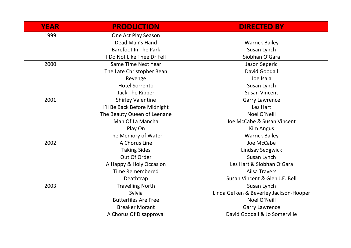| <b>YEAR</b> | <b>PRODUCTION</b>            | <b>DIRECTED BY</b>                     |
|-------------|------------------------------|----------------------------------------|
| 1999        | One Act Play Season          |                                        |
|             | Dead Man's Hand              | <b>Warrick Bailey</b>                  |
|             | <b>Barefoot In The Park</b>  | Susan Lynch                            |
|             | I Do Not Like Thee Dr Fell   | Siobhan O'Gara                         |
| 2000        | Same Time Next Year          | Jason Seperic                          |
|             | The Late Christopher Bean    | <b>David Goodall</b>                   |
|             | Revenge                      | Joe Isaia                              |
|             | <b>Hotel Sorrento</b>        | Susan Lynch                            |
|             | Jack The Ripper              | <b>Susan Vincent</b>                   |
| 2001        | <b>Shirley Valentine</b>     | <b>Garry Lawrence</b>                  |
|             | I'll Be Back Before Midnight | Les Hart                               |
|             | The Beauty Queen of Leenane  | Noel O'Neill                           |
|             | Man Of La Mancha             | Joe McCabe & Susan Vincent             |
|             | Play On                      | <b>Kim Angus</b>                       |
|             | The Memory of Water          | <b>Warrick Bailey</b>                  |
| 2002        | A Chorus Line                | Joe McCabe                             |
|             | <b>Taking Sides</b>          | <b>Lindsay Sedgwick</b>                |
|             | Out Of Order                 | Susan Lynch                            |
|             | A Happy & Holy Occasion      | Les Hart & Siobhan O'Gara              |
|             | <b>Time Remembered</b>       | <b>Ailsa Travers</b>                   |
|             | Deathtrap                    | Susan Vincent & Glen J.E. Bell         |
| 2003        | <b>Travelling North</b>      | Susan Lynch                            |
|             | Sylvia                       | Linda Gefken & Beverley Jackson-Hooper |
|             | <b>Butterfiles Are Free</b>  | Noel O'Neill                           |
|             | <b>Breaker Morant</b>        | <b>Garry Lawrence</b>                  |
|             | A Chorus Of Disapproval      | David Goodall & Jo Somerville          |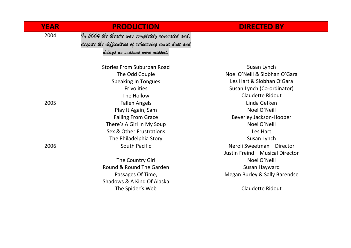| <b>YEAR</b> | <b>PRODUCTION</b>                                    | <b>DIRECTED BY</b>               |
|-------------|------------------------------------------------------|----------------------------------|
| 2004        | In 2004 the theatre was completely renovated and.    |                                  |
|             | despite the difficulties of rehearsing amid dust and |                                  |
|             | delays no seasons were missed.                       |                                  |
|             |                                                      |                                  |
|             | <b>Stories From Suburban Road</b>                    | Susan Lynch                      |
|             | The Odd Couple                                       | Noel O'Neill & Siobhan O'Gara    |
|             | <b>Speaking In Tongues</b>                           | Les Hart & Siobhan O'Gara        |
|             | <b>Frivolities</b>                                   | Susan Lynch (Co-ordinator)       |
|             | The Hollow                                           | <b>Claudette Ridout</b>          |
| 2005        | <b>Fallen Angels</b>                                 | Linda Gefken                     |
|             | Play It Again, Sam                                   | Noel O'Neill                     |
|             | <b>Falling From Grace</b>                            | Beverley Jackson-Hooper          |
|             | There's A Girl In My Soup                            | Noel O'Neill                     |
|             | Sex & Other Frustrations                             | Les Hart                         |
|             | The Philadelphia Story                               | Susan Lynch                      |
| 2006        | South Pacific                                        | Neroli Sweetman - Director       |
|             |                                                      | Justin Freind - Musical Director |
|             | The Country Girl                                     | Noel O'Neill                     |
|             | Round & Round The Garden                             | Susan Hayward                    |
|             | Passages Of Time,                                    | Megan Burley & Sally Barendse    |
|             | Shadows & A Kind Of Alaska                           |                                  |
|             | The Spider's Web                                     | <b>Claudette Ridout</b>          |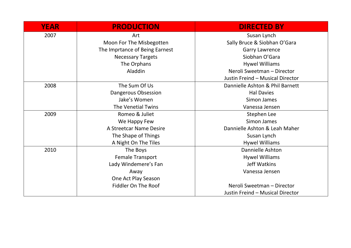| <b>YEAR</b> | <b>PRODUCTION</b>              | <b>DIRECTED BY</b>               |
|-------------|--------------------------------|----------------------------------|
| 2007        | Art                            | Susan Lynch                      |
|             | Moon For The Misbegotten       | Sally Bruce & Siobhan O'Gara     |
|             | The Imprtance of Being Earnest | <b>Garry Lawrence</b>            |
|             | <b>Necessary Targets</b>       | Siobhan O'Gara                   |
|             | The Orphans                    | <b>Hywel Williams</b>            |
|             | Aladdin                        | Neroli Sweetman - Director       |
|             |                                | Justin Freind - Musical Director |
| 2008        | The Sum Of Us                  | Dannielle Ashton & Phil Barnett  |
|             | Dangerous Obsession            | <b>Hal Davies</b>                |
|             | Jake's Women                   | Simon James                      |
|             | The Venetial Twins             | Vanessa Jensen                   |
| 2009        | Romeo & Juliet                 | Stephen Lee                      |
|             | We Happy Few                   | Simon James                      |
|             | A Streetcar Name Desire        | Dannielle Ashton & Leah Maher    |
|             | The Shape of Things            | Susan Lynch                      |
|             | A Night On The Tiles           | <b>Hywel Williams</b>            |
| 2010        | The Boys                       | Dannielle Ashton                 |
|             | Female Transport               | <b>Hywel Williams</b>            |
|             | Lady Windemere's Fan           | Jeff Watkins                     |
|             | Away                           | Vanessa Jensen                   |
|             | One Act Play Season            |                                  |
|             | Fiddler On The Roof            | Neroli Sweetman - Director       |
|             |                                | Justin Freind - Musical Director |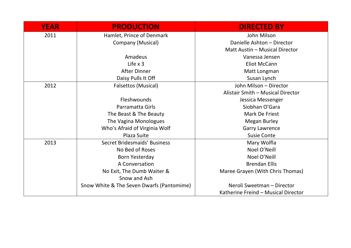| <b>YEAR</b> | <b>PRODUCTION</b>                         | <b>DIRECTED BY</b>                  |
|-------------|-------------------------------------------|-------------------------------------|
| 2011        | Hamlet, Prince of Denmark                 | John Milson                         |
|             | Company (Musical)                         | Danielle Ashton - Director          |
|             |                                           | Matt Austin - Musical Director      |
|             | Amadeus                                   | Vanessa Jensen                      |
|             | Life $\times$ 3                           | <b>Eliot McCann</b>                 |
|             | <b>After Dinner</b>                       | Matt Longman                        |
|             | Daisy Pulls It Off                        | Susan Lynch                         |
| 2012        | Falsettos (Musical)                       | John Milson - Director              |
|             |                                           | Alistair Smith - Musical Director   |
|             | Fleshwounds                               | Jessica Messenger                   |
|             | Parramatta Girls                          | Siobhan O'Gara                      |
|             | The Beast & The Beauty                    | Mark De Friest                      |
|             | The Vagina Monologues                     | <b>Megan Burley</b>                 |
|             | Who's Afraid of Virginia Wolf             | <b>Garry Lawrence</b>               |
|             | <b>Plaza Suite</b>                        | <b>Susie Conte</b>                  |
| 2013        | Secret Bridesmaids' Business              | Mary Wolfla                         |
|             | No Bed of Roses                           | Noel O'Neill                        |
|             | Born Yesterday                            | Noel O'Neill                        |
|             | A Conversation                            | <b>Brendan Ellis</b>                |
|             | No Exit, The Dumb Waiter &                | Maree Grayen (With Chris Thomas)    |
|             | Snow and Ash                              |                                     |
|             | Snow White & The Seven Dwarfs (Pantomime) | Neroli Sweetman - Director          |
|             |                                           | Katherine Freind - Musical Director |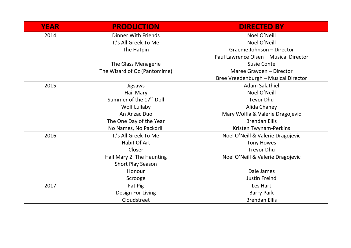| <b>YEAR</b> | <b>PRODUCTION</b>                   | <b>DIRECTED BY</b>                     |
|-------------|-------------------------------------|----------------------------------------|
| 2014        | <b>Dinner With Friends</b>          | Noel O'Neill                           |
|             | It's All Greek To Me                | Noel O'Neill                           |
|             | The Hatpin                          | Graeme Johnson - Director              |
|             |                                     | Paul Lawrence Olsen - Musical Director |
|             | The Glass Menagerie                 | <b>Susie Conte</b>                     |
|             | The Wizard of Oz (Pantomime)        | Maree Grayden - Director               |
|             |                                     | Bree Vreedenburgh - Musical Director   |
| 2015        | <b>Jigsaws</b>                      | <b>Adam Salathiel</b>                  |
|             | Hail Mary                           | Noel O'Neill                           |
|             | Summer of the 17 <sup>th</sup> Doll | <b>Tevor Dhu</b>                       |
|             | Wolf Lullaby                        | Alida Chaney                           |
|             | An Anzac Duo                        | Mary Wolfla & Valerie Dragojevic       |
|             | The One Day of the Year             | <b>Brendan Ellis</b>                   |
|             | No Names, No Packdrill              | Kristen Twynam-Perkins                 |
| 2016        | It's All Greek To Me                | Noel O'Neill & Valerie Dragojevic      |
|             | <b>Habit Of Art</b>                 | <b>Tony Howes</b>                      |
|             | Closer                              | <b>Trevor Dhu</b>                      |
|             | Hail Mary 2: The Haunting           | Noel O'Neill & Valerie Dragojevic      |
|             | <b>Short Play Season</b>            |                                        |
|             | Honour                              | Dale James                             |
|             | Scrooge                             | <b>Justin Freind</b>                   |
| 2017        | Fat Pig                             | Les Hart                               |
|             | Design For Living                   | <b>Barry Park</b>                      |
|             | Cloudstreet                         | <b>Brendan Ellis</b>                   |